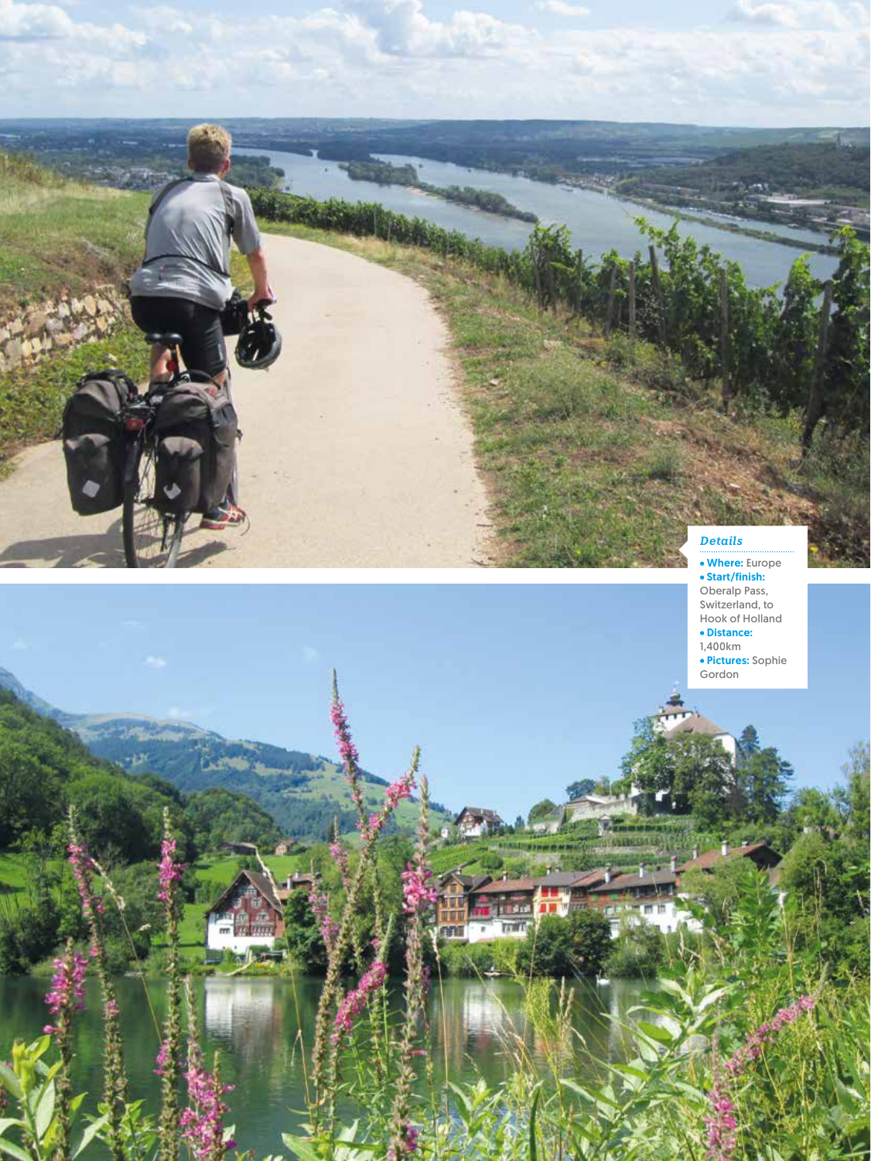# *Details*

Where: Europe Start/finish: Oberalp Pass, Switzerland, to Hook of Holland Distance:

1,400km

n 以前

nmi

**52** cycle APRIL/MAY 2020

Pictures: Sophie Gordon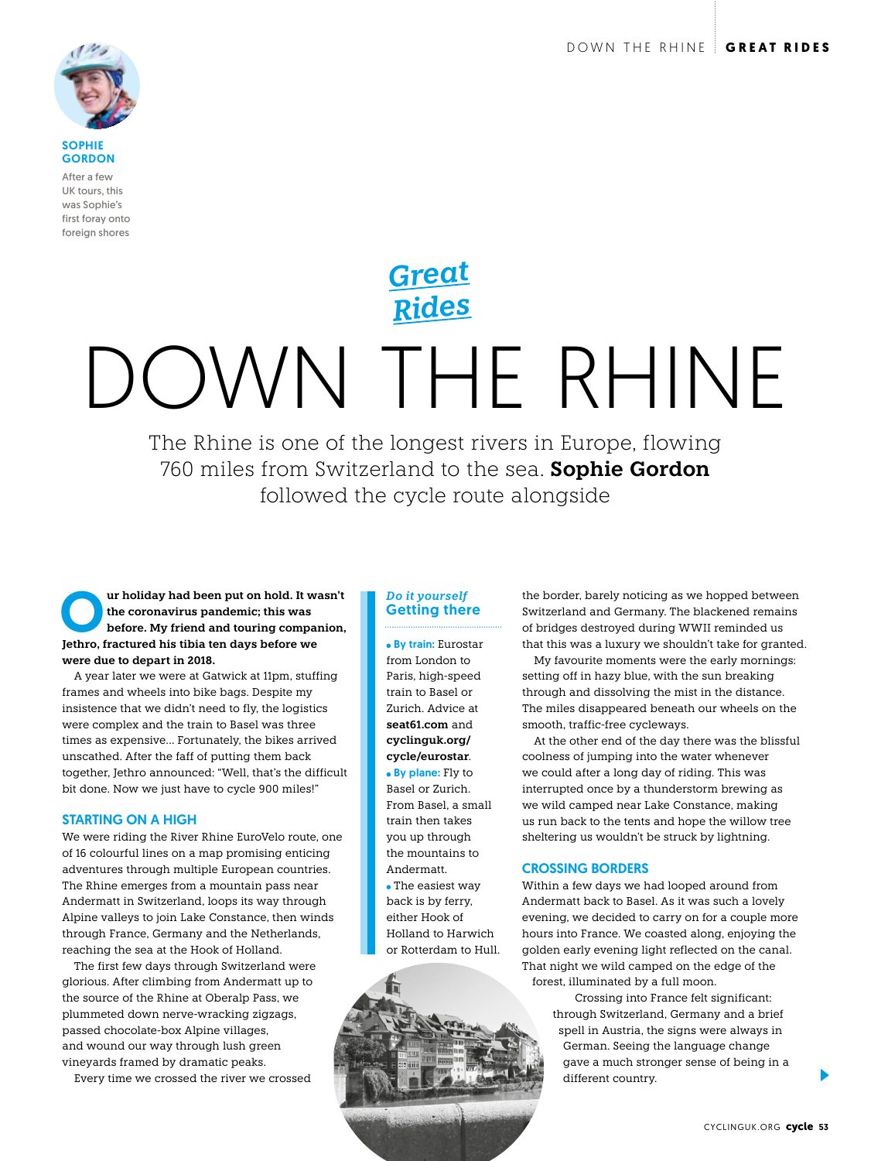

**SOPHIE GORDON** 

After a few UK tours, this was Sophie's first foray onto foreign shores

# DOWN THE RHINE *Rides*

*Great*

The Rhine is one of the longest rivers in Europe, flowing 760 miles from Switzerland to the sea. **Sophie Gordon** followed the cycle route alongside

Ur holiday had been put on hold. It wasn't the coronavirus pandemic; this was<br>
before. My friend and touring companion,<br>
Isthese fractured bis tibia ton days before we **the coronavirus pandemic; this was Jethro, fractured his tibia ten days before we were due to depart in 2018.**

A year later we were at Gatwick at 11pm, stuffing frames and wheels into bike bags. Despite my insistence that we didn't need to fly, the logistics were complex and the train to Basel was three times as expensive… Fortunately, the bikes arrived unscathed. After the faff of putting them back together, Jethro announced: "Well, that's the difficult bit done. Now we just have to cycle 900 miles!"

#### STARTING ON A HIGH

We were riding the River Rhine EuroVelo route, one of 16 colourful lines on a map promising enticing adventures through multiple European countries. The Rhine emerges from a mountain pass near Andermatt in Switzerland, loops its way through Alpine valleys to join Lake Constance, then winds through France, Germany and the Netherlands, reaching the sea at the Hook of Holland.

The first few days through Switzerland were glorious. After climbing from Andermatt up to the source of the Rhine at Oberalp Pass, we plummeted down nerve-wracking zigzags, passed chocolate-box Alpine villages, and wound our way through lush green vineyards framed by dramatic peaks.

Every time we crossed the river we crossed

## *Do it yourself* Getting there

 By train: Eurostar from London to Paris, high-speed train to Basel or Zurich. Advice at **seat61.com** and **cyclinguk.org/ cycle/eurostar**. • By plane: Fly to

Basel or Zurich. From Basel, a small train then takes you up through the mountains to Andermatt. The easiest way back is by ferry, either Hook of Holland to Harwich or Rotterdam to Hull.



the border, barely noticing as we hopped between Switzerland and Germany. The blackened remains of bridges destroyed during WWII reminded us that this was a luxury we shouldn't take for granted.

My favourite moments were the early mornings: setting off in hazy blue, with the sun breaking through and dissolving the mist in the distance. The miles disappeared beneath our wheels on the smooth, traffic-free cycleways.

At the other end of the day there was the blissful coolness of jumping into the water whenever we could after a long day of riding. This was interrupted once by a thunderstorm brewing as we wild camped near Lake Constance, making us run back to the tents and hope the willow tree sheltering us wouldn't be struck by lightning.

#### CROSSING BORDERS

Within a few days we had looped around from Andermatt back to Basel. As it was such a lovely evening, we decided to carry on for a couple more hours into France. We coasted along, enjoying the golden early evening light reflected on the canal. That night we wild camped on the edge of the forest, illuminated by a full moon.

> Crossing into France felt significant: through Switzerland, Germany and a brief spell in Austria, the signs were always in German. Seeing the language change gave a much stronger sense of being in a different country.